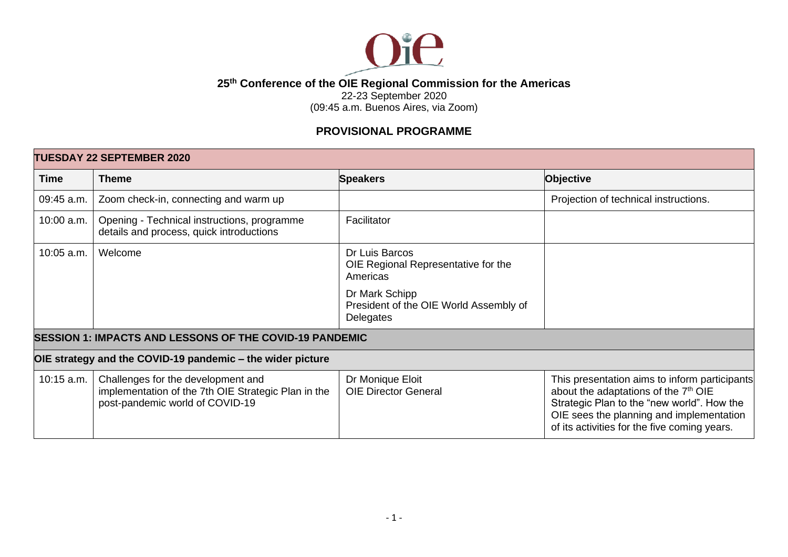

## **25th Conference of the OIE Regional Commission for the Americas**

22-23 September 2020

(09:45 a.m. Buenos Aires, via Zoom)

## **PROVISIONAL PROGRAMME**

| <b>TUESDAY 22 SEPTEMBER 2020</b>                               |                                                                                                                              |                                                                       |                                                                                                                                                                                                                                             |
|----------------------------------------------------------------|------------------------------------------------------------------------------------------------------------------------------|-----------------------------------------------------------------------|---------------------------------------------------------------------------------------------------------------------------------------------------------------------------------------------------------------------------------------------|
| <b>Time</b>                                                    | <b>Theme</b>                                                                                                                 | <b>Speakers</b>                                                       | <b>Objective</b>                                                                                                                                                                                                                            |
| 09:45 a.m.                                                     | Zoom check-in, connecting and warm up                                                                                        |                                                                       | Projection of technical instructions.                                                                                                                                                                                                       |
| 10:00 a.m.                                                     | Opening - Technical instructions, programme<br>details and process, quick introductions                                      | Facilitator                                                           |                                                                                                                                                                                                                                             |
| 10:05 a.m.                                                     | Welcome                                                                                                                      | Dr Luis Barcos<br>OIE Regional Representative for the<br>Americas     |                                                                                                                                                                                                                                             |
|                                                                |                                                                                                                              | Dr Mark Schipp<br>President of the OIE World Assembly of<br>Delegates |                                                                                                                                                                                                                                             |
| <b>SESSION 1: IMPACTS AND LESSONS OF THE COVID-19 PANDEMIC</b> |                                                                                                                              |                                                                       |                                                                                                                                                                                                                                             |
| OIE strategy and the COVID-19 pandemic - the wider picture     |                                                                                                                              |                                                                       |                                                                                                                                                                                                                                             |
| 10:15 a.m.                                                     | Challenges for the development and<br>implementation of the 7th OIE Strategic Plan in the<br>post-pandemic world of COVID-19 | Dr Monique Eloit<br><b>OIE Director General</b>                       | This presentation aims to inform participants<br>about the adaptations of the 7 <sup>th</sup> OIE<br>Strategic Plan to the "new world". How the<br>OIE sees the planning and implementation<br>of its activities for the five coming years. |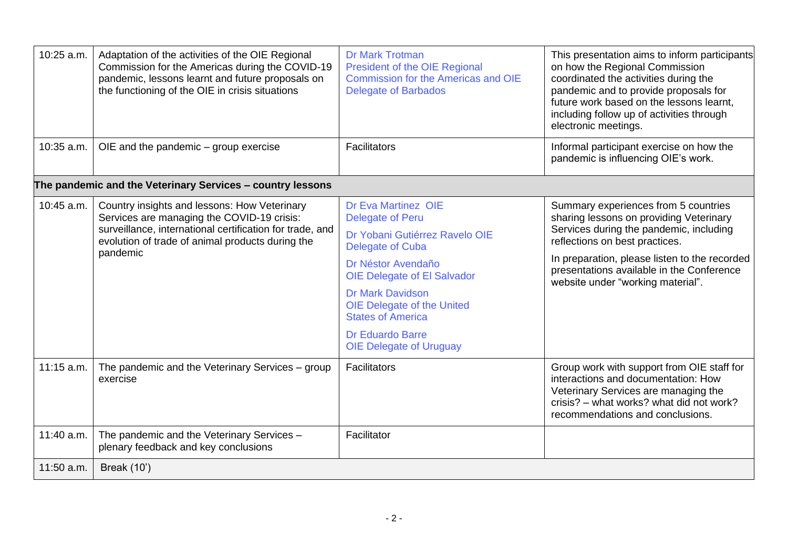| 10:25 a.m. | Adaptation of the activities of the OIE Regional<br>Commission for the Americas during the COVID-19<br>pandemic, lessons learnt and future proposals on<br>the functioning of the OIE in crisis situations             | <b>Dr Mark Trotman</b><br><b>President of the OIE Regional</b><br><b>Commission for the Americas and OIE</b><br><b>Delegate of Barbados</b> | This presentation aims to inform participants<br>on how the Regional Commission<br>coordinated the activities during the<br>pandemic and to provide proposals for<br>future work based on the lessons learnt,<br>including follow up of activities through<br>electronic meetings.              |
|------------|------------------------------------------------------------------------------------------------------------------------------------------------------------------------------------------------------------------------|---------------------------------------------------------------------------------------------------------------------------------------------|-------------------------------------------------------------------------------------------------------------------------------------------------------------------------------------------------------------------------------------------------------------------------------------------------|
| 10:35 a.m. | OIE and the pandemic $-$ group exercise                                                                                                                                                                                | <b>Facilitators</b>                                                                                                                         | Informal participant exercise on how the<br>pandemic is influencing OIE's work.                                                                                                                                                                                                                 |
|            | The pandemic and the Veterinary Services - country lessons                                                                                                                                                             |                                                                                                                                             |                                                                                                                                                                                                                                                                                                 |
| 10:45 a.m. | Country insights and lessons: How Veterinary<br>Services are managing the COVID-19 crisis:<br>surveillance, international certification for trade, and<br>evolution of trade of animal products during the<br>pandemic | <b>Dr Eva Martinez OIE</b><br><b>Delegate of Peru</b>                                                                                       | Summary experiences from 5 countries<br>sharing lessons on providing Veterinary<br>Services during the pandemic, including<br>reflections on best practices.<br>In preparation, please listen to the recorded<br>presentations available in the Conference<br>website under "working material". |
|            |                                                                                                                                                                                                                        | Dr Yobani Gutiérrez Ravelo OIE<br>Delegate of Cuba                                                                                          |                                                                                                                                                                                                                                                                                                 |
|            |                                                                                                                                                                                                                        | Dr Néstor Avendaño<br><b>OIE Delegate of El Salvador</b>                                                                                    |                                                                                                                                                                                                                                                                                                 |
|            |                                                                                                                                                                                                                        | <b>Dr Mark Davidson</b><br><b>OIE Delegate of the United</b><br><b>States of America</b>                                                    |                                                                                                                                                                                                                                                                                                 |
|            |                                                                                                                                                                                                                        | <b>Dr Eduardo Barre</b><br><b>OIE Delegate of Uruguay</b>                                                                                   |                                                                                                                                                                                                                                                                                                 |
| 11:15 a.m. | The pandemic and the Veterinary Services - group<br>exercise                                                                                                                                                           | <b>Facilitators</b>                                                                                                                         | Group work with support from OIE staff for<br>interactions and documentation: How<br>Veterinary Services are managing the<br>crisis? – what works? what did not work?<br>recommendations and conclusions.                                                                                       |
| 11:40 a.m. | The pandemic and the Veterinary Services -<br>plenary feedback and key conclusions                                                                                                                                     | Facilitator                                                                                                                                 |                                                                                                                                                                                                                                                                                                 |
| 11:50 a.m. | <b>Break (10')</b>                                                                                                                                                                                                     |                                                                                                                                             |                                                                                                                                                                                                                                                                                                 |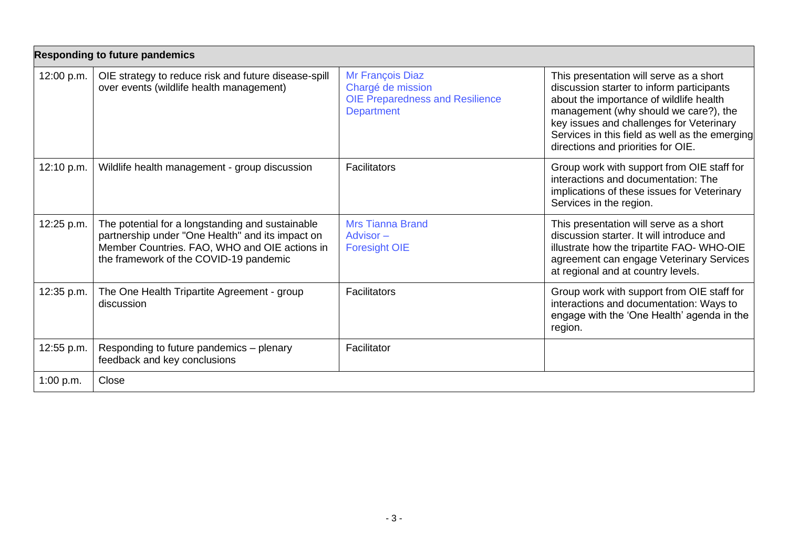| <b>Responding to future pandemics</b> |                                                                                                                                                                                                 |                                                                                                      |                                                                                                                                                                                                                                                                                                              |
|---------------------------------------|-------------------------------------------------------------------------------------------------------------------------------------------------------------------------------------------------|------------------------------------------------------------------------------------------------------|--------------------------------------------------------------------------------------------------------------------------------------------------------------------------------------------------------------------------------------------------------------------------------------------------------------|
| 12:00 p.m.                            | OIE strategy to reduce risk and future disease-spill<br>over events (wildlife health management)                                                                                                | Mr François Diaz<br>Chargé de mission<br><b>OIE Preparedness and Resilience</b><br><b>Department</b> | This presentation will serve as a short<br>discussion starter to inform participants<br>about the importance of wildlife health<br>management (why should we care?), the<br>key issues and challenges for Veterinary<br>Services in this field as well as the emerging<br>directions and priorities for OIE. |
| 12:10 p.m.                            | Wildlife health management - group discussion                                                                                                                                                   | <b>Facilitators</b>                                                                                  | Group work with support from OIE staff for<br>interactions and documentation: The<br>implications of these issues for Veterinary<br>Services in the region.                                                                                                                                                  |
| 12:25 p.m.                            | The potential for a longstanding and sustainable<br>partnership under "One Health" and its impact on<br>Member Countries. FAO, WHO and OIE actions in<br>the framework of the COVID-19 pandemic | <b>Mrs Tianna Brand</b><br>Advisor $-$<br><b>Foresight OIE</b>                                       | This presentation will serve as a short<br>discussion starter. It will introduce and<br>illustrate how the tripartite FAO- WHO-OIE<br>agreement can engage Veterinary Services<br>at regional and at country levels.                                                                                         |
| 12:35 p.m.                            | The One Health Tripartite Agreement - group<br>discussion                                                                                                                                       | <b>Facilitators</b>                                                                                  | Group work with support from OIE staff for<br>interactions and documentation: Ways to<br>engage with the 'One Health' agenda in the<br>region.                                                                                                                                                               |
| 12:55 p.m.                            | Responding to future pandemics - plenary<br>feedback and key conclusions                                                                                                                        | Facilitator                                                                                          |                                                                                                                                                                                                                                                                                                              |
| 1:00 p.m.                             | Close                                                                                                                                                                                           |                                                                                                      |                                                                                                                                                                                                                                                                                                              |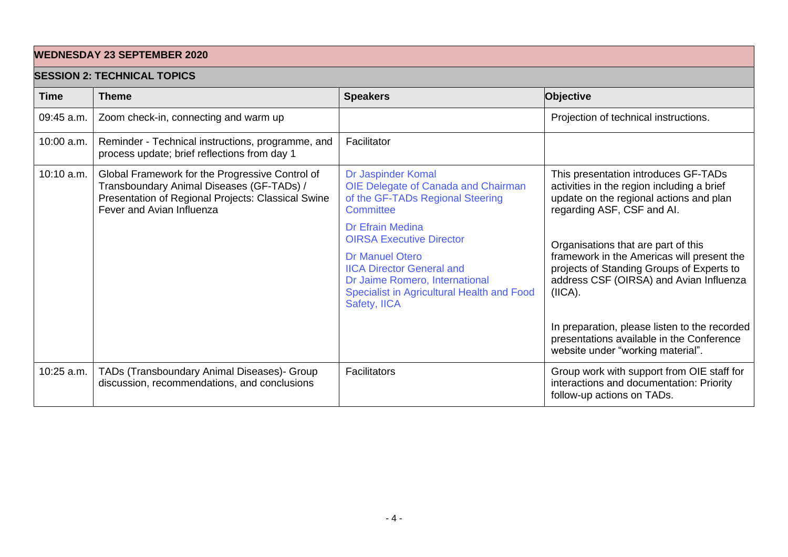## **WEDNESDAY 23 SEPTEMBER 2020**

## **SESSION 2: TECHNICAL TOPICS**

| SLOOIUN Z. TLUI INIUAL TUFIUO |                                                                                                                                                                                 |                                                                                                                          |                                                                                                                                                             |
|-------------------------------|---------------------------------------------------------------------------------------------------------------------------------------------------------------------------------|--------------------------------------------------------------------------------------------------------------------------|-------------------------------------------------------------------------------------------------------------------------------------------------------------|
| <b>Time</b>                   | <b>Theme</b>                                                                                                                                                                    | <b>Speakers</b>                                                                                                          | Objective                                                                                                                                                   |
| 09:45 a.m.                    | Zoom check-in, connecting and warm up                                                                                                                                           |                                                                                                                          | Projection of technical instructions.                                                                                                                       |
| 10:00 a.m.                    | Reminder - Technical instructions, programme, and<br>process update; brief reflections from day 1                                                                               | Facilitator                                                                                                              |                                                                                                                                                             |
| 10:10 a.m.                    | Global Framework for the Progressive Control of<br>Transboundary Animal Diseases (GF-TADs) /<br>Presentation of Regional Projects: Classical Swine<br>Fever and Avian Influenza | Dr Jaspinder Komal<br>OIE Delegate of Canada and Chairman<br>of the GF-TADs Regional Steering<br>Committee               | This presentation introduces GF-TADs<br>activities in the region including a brief<br>update on the regional actions and plan<br>regarding ASF, CSF and AI. |
|                               |                                                                                                                                                                                 | <b>Dr Efrain Medina</b><br><b>OIRSA Executive Director</b><br><b>Dr Manuel Otero</b><br><b>IICA Director General and</b> | Organisations that are part of this<br>framework in the Americas will present the<br>projects of Standing Groups of Experts to                              |
|                               |                                                                                                                                                                                 | Dr Jaime Romero, International<br>Specialist in Agricultural Health and Food<br>Safety, IICA                             | address CSF (OIRSA) and Avian Influenza<br>(IICA).                                                                                                          |
|                               |                                                                                                                                                                                 |                                                                                                                          | In preparation, please listen to the recorded<br>presentations available in the Conference<br>website under "working material".                             |
| 10:25 a.m.                    | TADs (Transboundary Animal Diseases)- Group<br>discussion, recommendations, and conclusions                                                                                     | Facilitators                                                                                                             | Group work with support from OIE staff for<br>interactions and documentation: Priority<br>follow-up actions on TADs.                                        |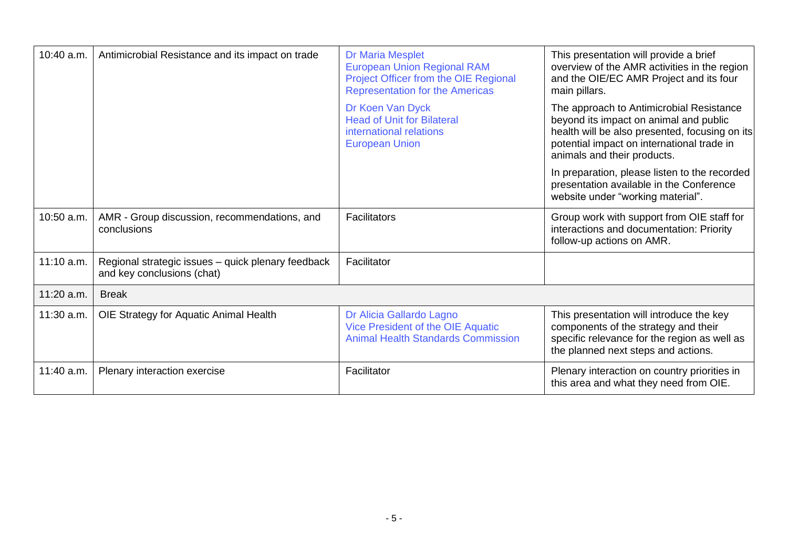| 10:40 a.m. | Antimicrobial Resistance and its impact on trade                                 | <b>Dr Maria Mesplet</b><br><b>European Union Regional RAM</b><br>Project Officer from the OIE Regional<br><b>Representation for the Americas</b> | This presentation will provide a brief<br>overview of the AMR activities in the region<br>and the OIE/EC AMR Project and its four<br>main pillars.                                                                |
|------------|----------------------------------------------------------------------------------|--------------------------------------------------------------------------------------------------------------------------------------------------|-------------------------------------------------------------------------------------------------------------------------------------------------------------------------------------------------------------------|
|            |                                                                                  | Dr Koen Van Dyck<br><b>Head of Unit for Bilateral</b><br>international relations<br><b>European Union</b>                                        | The approach to Antimicrobial Resistance<br>beyond its impact on animal and public<br>health will be also presented, focusing on its<br>potential impact on international trade in<br>animals and their products. |
|            |                                                                                  |                                                                                                                                                  | In preparation, please listen to the recorded<br>presentation available in the Conference<br>website under "working material".                                                                                    |
| 10:50 a.m. | AMR - Group discussion, recommendations, and<br>conclusions                      | <b>Facilitators</b>                                                                                                                              | Group work with support from OIE staff for<br>interactions and documentation: Priority<br>follow-up actions on AMR.                                                                                               |
| 11:10 a.m. | Regional strategic issues - quick plenary feedback<br>and key conclusions (chat) | Facilitator                                                                                                                                      |                                                                                                                                                                                                                   |
| 11:20 a.m. | <b>Break</b>                                                                     |                                                                                                                                                  |                                                                                                                                                                                                                   |
| 11:30 a.m. | OIE Strategy for Aquatic Animal Health                                           | Dr Alicia Gallardo Lagno<br>Vice President of the OIE Aquatic<br><b>Animal Health Standards Commission</b>                                       | This presentation will introduce the key<br>components of the strategy and their<br>specific relevance for the region as well as<br>the planned next steps and actions.                                           |
| 11:40 a.m. | Plenary interaction exercise                                                     | Facilitator                                                                                                                                      | Plenary interaction on country priorities in<br>this area and what they need from OIE.                                                                                                                            |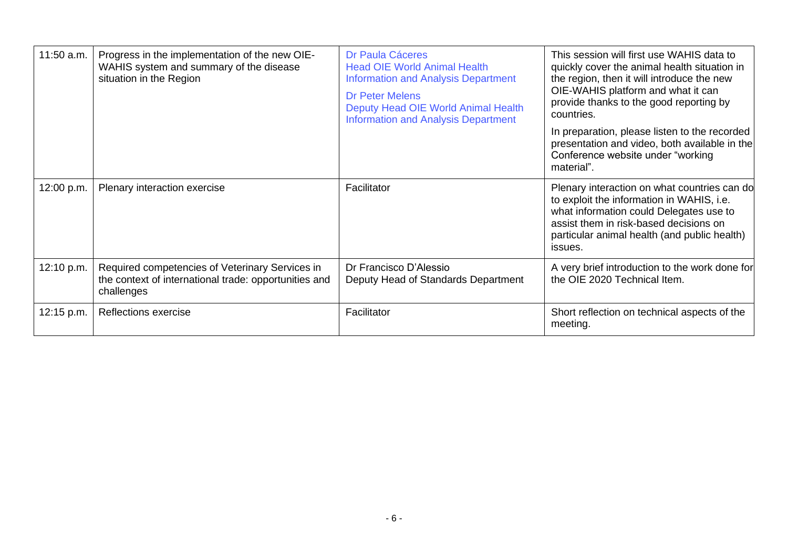| 11:50 a.m. | Progress in the implementation of the new OIE-<br>WAHIS system and summary of the disease<br>situation in the Region   | Dr Paula Cáceres<br><b>Head OIE World Animal Health</b><br><b>Information and Analysis Department</b><br><b>Dr Peter Melens</b><br>Deputy Head OIE World Animal Health<br><b>Information and Analysis Department</b> | This session will first use WAHIS data to<br>quickly cover the animal health situation in<br>the region, then it will introduce the new<br>OIE-WAHIS platform and what it can<br>provide thanks to the good reporting by<br>countries.<br>In preparation, please listen to the recorded<br>presentation and video, both available in the<br>Conference website under "working<br>material". |
|------------|------------------------------------------------------------------------------------------------------------------------|----------------------------------------------------------------------------------------------------------------------------------------------------------------------------------------------------------------------|---------------------------------------------------------------------------------------------------------------------------------------------------------------------------------------------------------------------------------------------------------------------------------------------------------------------------------------------------------------------------------------------|
| 12:00 p.m. | Plenary interaction exercise                                                                                           | Facilitator                                                                                                                                                                                                          | Plenary interaction on what countries can do<br>to exploit the information in WAHIS, i.e.<br>what information could Delegates use to<br>assist them in risk-based decisions on<br>particular animal health (and public health)<br>issues.                                                                                                                                                   |
| 12:10 p.m. | Required competencies of Veterinary Services in<br>the context of international trade: opportunities and<br>challenges | Dr Francisco D'Alessio<br>Deputy Head of Standards Department                                                                                                                                                        | A very brief introduction to the work done for<br>the OIE 2020 Technical Item.                                                                                                                                                                                                                                                                                                              |
| 12:15 p.m. | Reflections exercise                                                                                                   | Facilitator                                                                                                                                                                                                          | Short reflection on technical aspects of the<br>meeting.                                                                                                                                                                                                                                                                                                                                    |